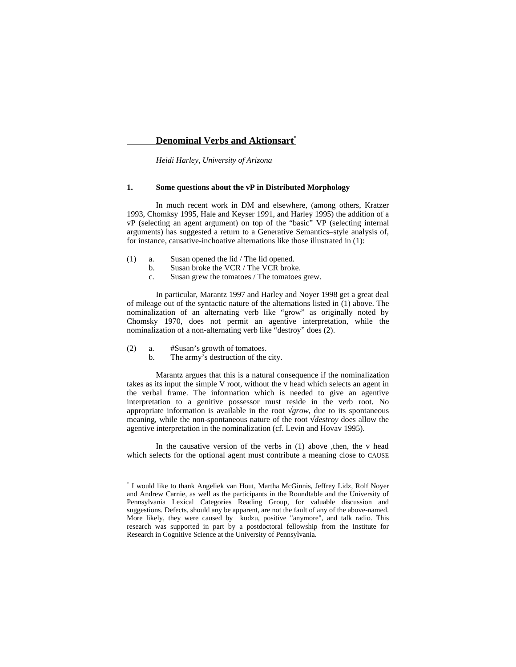*Heidi Harley, University of Arizona*

#### **1. Some questions about the vP in Distributed Morphology**

In much recent work in DM and elsewhere, (among others, Kratzer 1993, Chomksy 1995, Hale and Keyser 1991, and Harley 1995) the addition of a vP (selecting an agent argument) on top of the "basic" VP (selecting internal arguments) has suggested a return to a Generative Semantics–style analysis of, for instance, causative-inchoative alternations like those illustrated in (1):

- (1) a. Susan opened the lid / The lid opened.
	- b. Susan broke the VCR / The VCR broke.
	- c. Susan grew the tomatoes / The tomatoes grew.

In particular, Marantz 1997 and Harley and Noyer 1998 get a great deal of mileage out of the syntactic nature of the alternations listed in (1) above. The nominalization of an alternating verb like "grow" as originally noted by Chomsky 1970, does not permit an agentive interpretation, while the nominalization of a non-alternating verb like "destroy" does (2).

(2) a. #Susan's growth of tomatoes.

b. The army's destruction of the city.

Marantz argues that this is a natural consequence if the nominalization takes as its input the simple V root, without the v head which selects an agent in the verbal frame. The information which is needed to give an agentive interpretation to a genitive possessor must reside in the verb root. No appropriate information is available in the root *grow*, due to its spontaneous meaning, while the non-spontaneous nature of the root *destroy* does allow the agentive interpretation in the nominalization (cf. Levin and Hovav 1995).

In the causative version of the verbs in (1) above ,then, the v head which selects for the optional agent must contribute a meaning close to CAUSE

<sup>\*</sup> I would like to thank Angeliek van Hout, Martha McGinnis, Jeffrey Lidz, Rolf Noyer and Andrew Carnie, as well as the participants in the Roundtable and the University of Pennsylvania Lexical Categories Reading Group, for valuable discussion and suggestions. Defects, should any be apparent, are not the fault of any of the above-named. More likely, they were caused by kudzu, positive "anymore", and talk radio. This research was supported in part by a postdoctoral fellowship from the Institute for Research in Cognitive Science at the University of Pennsylvania.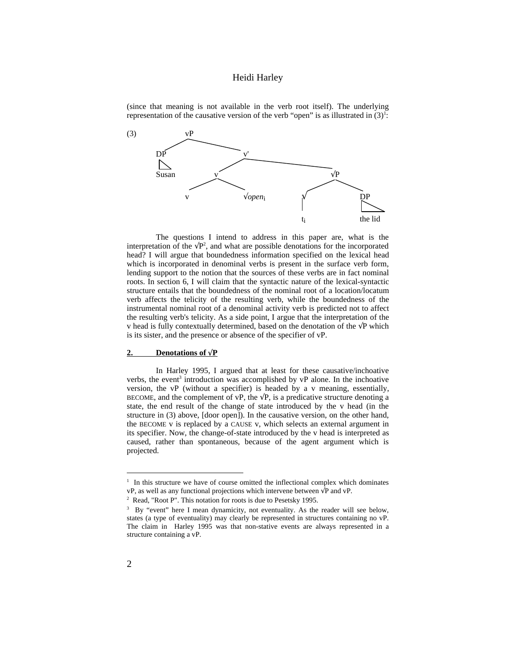(since that meaning is not available in the verb root itself). The underlying representation of the causative version of the verb "open" is as illustrated in  $(3)^{1}$ .



The questions I intend to address in this paper are, what is the interpretation of the  $P^2$ , and what are possible denotations for the incorporated head? I will argue that boundedness information specified on the lexical head which is incorporated in denominal verbs is present in the surface verb form, lending support to the notion that the sources of these verbs are in fact nominal roots. In section 6, I will claim that the syntactic nature of the lexical-syntactic structure entails that the boundedness of the nominal root of a location/locatum verb affects the telicity of the resulting verb, while the boundedness of the instrumental nominal root of a denominal activity verb is predicted not to affect the resulting verb's telicity. As a side point, I argue that the interpretation of the v head is fully contextually determined, based on the denotation of the P which is its sister, and the presence or absence of the specifier of vP.

#### **2.** Denotations of  $\sqrt{P}$

In Harley 1995, I argued that at least for these causative/inchoative verbs, the event<sup>3</sup> introduction was accomplished by  $vP$  alone. In the inchoative version, the vP (without a specifier) is headed by a v meaning, essentially, BECOME, and the complement of vP, the P, is a predicative structure denoting a state, the end result of the change of state introduced by the v head (in the structure in (3) above, [door open]). In the causative version, on the other hand, the BECOME v is replaced by a CAUSE v, which selects an external argument in its specifier. Now, the change-of-state introduced by the v head is interpreted as caused, rather than spontaneous, because of the agent argument which is projected.

 $\overline{a}$ 

<sup>&</sup>lt;sup>1</sup> In this structure we have of course omitted the inflectional complex which dominates vP, as well as any functional projections which intervene between P and vP.

<sup>&</sup>lt;sup>2</sup> Read, "Root P". This notation for roots is due to Pesetsky 1995.

<sup>&</sup>lt;sup>3</sup> By "event" here I mean dynamicity, not eventuality. As the reader will see below, states (a type of eventuality) may clearly be represented in structures containing no vP. The claim in Harley 1995 was that non-stative events are always represented in a structure containing a vP.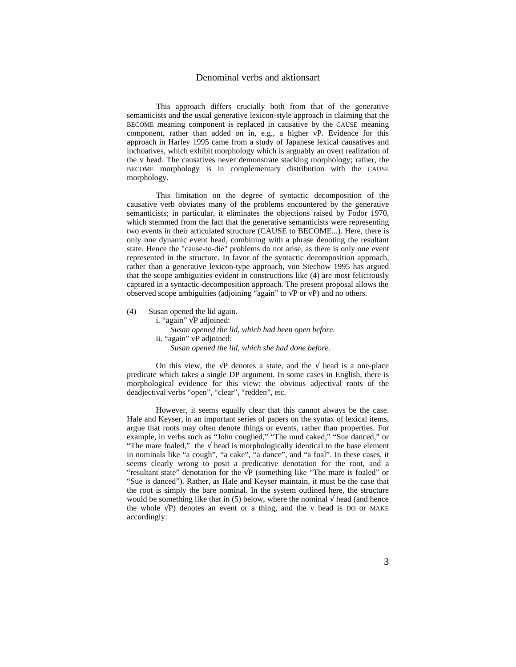This approach differs crucially both from that of the generative semanticists and the usual generative lexicon-style approach in claiming that the BECOME meaning component is replaced in causative by the CAUSE meaning component, rather than added on in, e.g., a higher vP. Evidence for this approach in Harley 1995 came from a study of Japanese lexical causatives and inchoatives, which exhibit morphology which is arguably an overt realization of the v head. The causatives never demonstrate stacking morphology; rather, the BECOME morphology is in complementary distribution with the CAUSE morphology.

This limitation on the degree of syntactic decomposition of the causative verb obviates many of the problems encountered by the generative semanticists; in particular, it eliminates the objections raised by Fodor 1970, which stemmed from the fact that the generative semanticists were representing two events in their articulated structure (CAUSE to BECOME...). Here, there is only one dynamic event head, combining with a phrase denoting the resultant state. Hence the "cause-to-die" problems do not arise, as there is only one event represented in the structure. In favor of the syntactic decomposition approach, rather than a generative lexicon-type approach, von Stechow 1995 has argued that the scope ambiguities evident in constructions like (4) are most felicitously captured in a syntactic-decomposition approach. The present proposal allows the observed scope ambiguities (adjoining "again" to P or vP) and no others.

(4) Susan opened the lid again.

i. "again" P adjoined: *Susan opened the lid, which had been open before.* ii. "again" vP adjoined: *Susan opened the lid, which she had done before.*

On this view, the P denotes a state, and the head is a one-place predicate which takes a single DP argument. In some cases in English, there is morphological evidence for this view: the obvious adjectival roots of the deadjectival verbs "open", "clear", "redden", etc.

However, it seems equally clear that this cannot always be the case. Hale and Keyser, in an important series of papers on the syntax of lexical items, argue that roots may often denote things or events, rather than properties. For example, in verbs such as "John coughed," "The mud caked," "Sue danced," or "The mare foaled," the head is morphologically identical to the base element in nominals like "a cough", "a cake", "a dance", and "a foal". In these cases, it seems clearly wrong to posit a predicative denotation for the root, and a "resultant state" denotation for the P (something like "The mare is foaled" or "Sue is danced"). Rather, as Hale and Keyser maintain, it must be the case that the root is simply the bare nominal. In the system outlined here, the structure would be something like that in (5) below, where the nominal head (and hence the whole P) denotes an event or a thing, and the v head is DO or MAKE accordingly: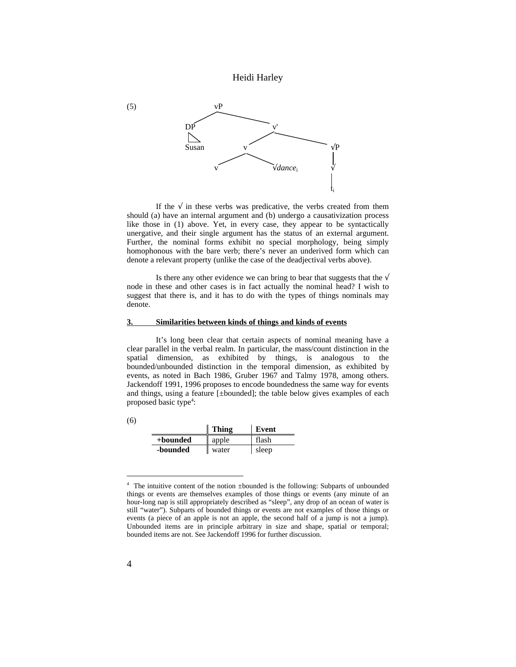

If the in these verbs was predicative, the verbs created from them should (a) have an internal argument and (b) undergo a causativization process like those in (1) above. Yet, in every case, they appear to be syntactically unergative, and their single argument has the status of an external argument. Further, the nominal forms exhibit no special morphology, being simply homophonous with the bare verb; there's never an underived form which can denote a relevant property (unlike the case of the deadjectival verbs above).

Is there any other evidence we can bring to bear that suggests that the node in these and other cases is in fact actually the nominal head? I wish to suggest that there is, and it has to do with the types of things nominals may denote.

#### **3. Similarities between kinds of things and kinds of events**

It's long been clear that certain aspects of nominal meaning have a clear parallel in the verbal realm. In particular, the mass/count distinction in the spatial dimension, as exhibited by things, is analogous to the bounded/unbounded distinction in the temporal dimension, as exhibited by events, as noted in Bach 1986, Gruber 1967 and Talmy 1978, among others. Jackendoff 1991, 1996 proposes to encode boundedness the same way for events and things, using a feature [±bounded]; the table below gives examples of each proposed basic type<sup>4</sup>:

(6)

|          | Thing | Event |
|----------|-------|-------|
| +bounded | apple | flash |
| -bounded | water | sleep |

<sup>4</sup> The intuitive content of the notion ±bounded is the following: Subparts of unbounded things or events are themselves examples of those things or events (any minute of an hour-long nap is still appropriately described as "sleep", any drop of an ocean of water is still "water"). Subparts of bounded things or events are not examples of those things or events (a piece of an apple is not an apple, the second half of a jump is not a jump). Unbounded items are in principle arbitrary in size and shape, spatial or temporal; bounded items are not. See Jackendoff 1996 for further discussion.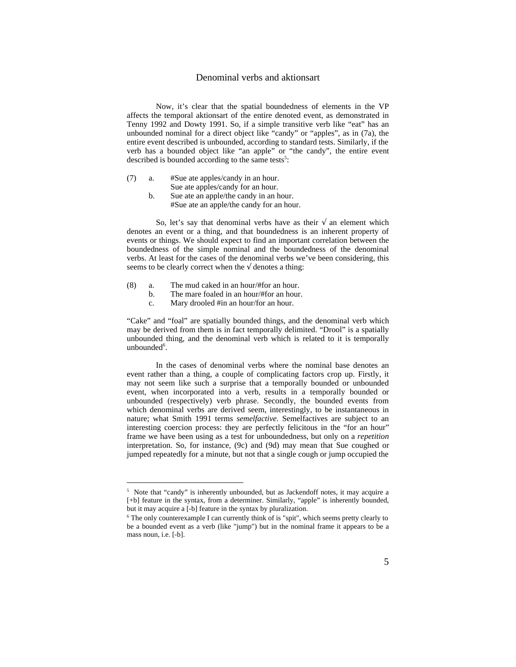Now, it's clear that the spatial boundedness of elements in the VP affects the temporal aktionsart of the entire denoted event, as demonstrated in Tenny 1992 and Dowty 1991. So, if a simple transitive verb like "eat" has an unbounded nominal for a direct object like "candy" or "apples", as in (7a), the entire event described is unbounded, according to standard tests. Similarly, if the verb has a bounded object like "an apple" or "the candy", the entire event described is bounded according to the same tests<sup>5</sup>:

- (7) a. #Sue ate apples/candy in an hour. Sue ate apples/candy for an hour.
	- b. Sue ate an apple/the candy in an hour. #Sue ate an apple/the candy for an hour.

So, let's say that denominal verbs have as their an element which denotes an event or a thing, and that boundedness is an inherent property of events or things. We should expect to find an important correlation between the boundedness of the simple nominal and the boundedness of the denominal verbs. At least for the cases of the denominal verbs we've been considering, this seems to be clearly correct when the denotes a thing:

(8) a. The mud caked in an hour/#for an hour.

l

- b. The mare foaled in an hour/#for an hour.
- c. Mary drooled #in an hour/for an hour.

"Cake" and "foal" are spatially bounded things, and the denominal verb which may be derived from them is in fact temporally delimited. "Drool" is a spatially unbounded thing, and the denominal verb which is related to it is temporally  $unbounded<sup>6</sup>$ .

In the cases of denominal verbs where the nominal base denotes an event rather than a thing, a couple of complicating factors crop up. Firstly, it may not seem like such a surprise that a temporally bounded or unbounded event, when incorporated into a verb, results in a temporally bounded or unbounded (respectively) verb phrase. Secondly, the bounded events from which denominal verbs are derived seem, interestingly, to be instantaneous in nature; what Smith 1991 terms *semelfactive*. Semelfactives are subject to an interesting coercion process: they are perfectly felicitous in the "for an hour" frame we have been using as a test for unboundedness, but only on a *repetition* interpretation. So, for instance, (9c) and (9d) may mean that Sue coughed or jumped repeatedly for a minute, but not that a single cough or jump occupied the

<sup>&</sup>lt;sup>5</sup> Note that "candy" is inherently unbounded, but as Jackendoff notes, it may acquire a [+b] feature in the syntax, from a determiner. Similarly, "apple" is inherently bounded, but it may acquire a [-b] feature in the syntax by pluralization.

<sup>&</sup>lt;sup>6</sup> The only counterexample I can currently think of is "spit", which seems pretty clearly to be a bounded event as a verb (like "jump") but in the nominal frame it appears to be a mass noun, i.e. [-b].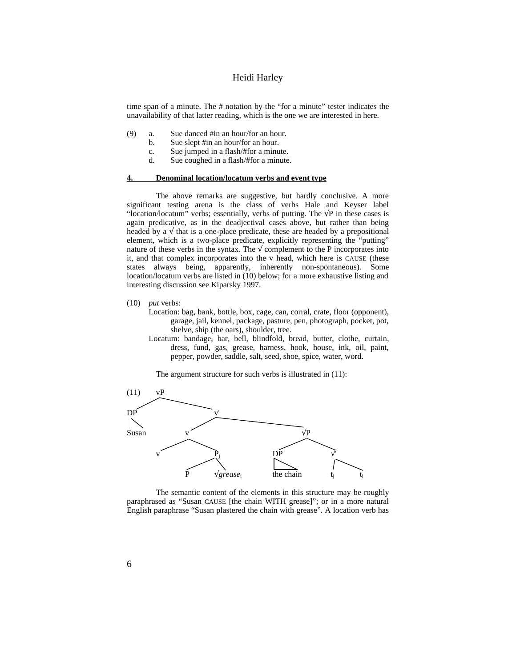time span of a minute. The # notation by the "for a minute" tester indicates the unavailability of that latter reading, which is the one we are interested in here.

- (9) a. Sue danced #in an hour/for an hour.
	- b. Sue slept #in an hour/for an hour.
	- c. Sue jumped in a flash/#for a minute.
	- d. Sue coughed in a flash/#for a minute.

### **4. Denominal location/locatum verbs and event type**

The above remarks are suggestive, but hardly conclusive. A more significant testing arena is the class of verbs Hale and Keyser label "location/locatum" verbs; essentially, verbs of putting. The P in these cases is again predicative, as in the deadjectival cases above, but rather than being headed by a that is a one-place predicate, these are headed by a prepositional element, which is a two-place predicate, explicitly representing the "putting" nature of these verbs in the syntax. The complement to the P incorporates into it, and that complex incorporates into the v head, which here is CAUSE (these states always being, apparently, inherently non-spontaneous). Some location/locatum verbs are listed in (10) below; for a more exhaustive listing and interesting discussion see Kiparsky 1997.

- (10) *put* verbs:
	- Location: bag, bank, bottle, box, cage, can, corral, crate, floor (opponent), garage, jail, kennel, package, pasture, pen, photograph, pocket, pot, shelve, ship (the oars), shoulder, tree.
	- Locatum: bandage, bar, bell, blindfold, bread, butter, clothe, curtain, dress, fund, gas, grease, harness, hook, house, ink, oil, paint, pepper, powder, saddle, salt, seed, shoe, spice, water, word.

The argument structure for such verbs is illustrated in  $(11)$ :



The semantic content of the elements in this structure may be roughly paraphrased as "Susan CAUSE [the chain WITH grease]"; or in a more natural English paraphrase "Susan plastered the chain with grease". A location verb has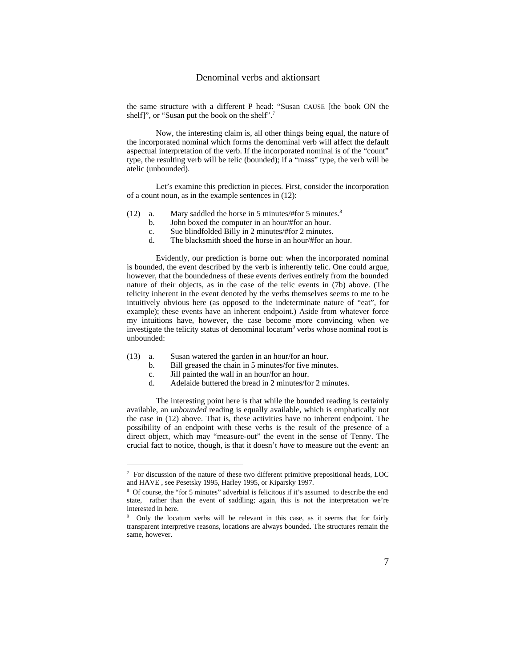the same structure with a different P head: "Susan CAUSE [the book ON the shelf]", or "Susan put the book on the shelf".<sup>7</sup>

Now, the interesting claim is, all other things being equal, the nature of the incorporated nominal which forms the denominal verb will affect the default aspectual interpretation of the verb. If the incorporated nominal is of the "count" type, the resulting verb will be telic (bounded); if a "mass" type, the verb will be atelic (unbounded).

Let's examine this prediction in pieces. First, consider the incorporation of a count noun, as in the example sentences in (12):

- (12) a. Mary saddled the horse in 5 minutes/#for 5 minutes.<sup>8</sup>
	- b. John boxed the computer in an hour/#for an hour.
	- c. Sue blindfolded Billy in 2 minutes/#for 2 minutes.
	- d. The blacksmith shoed the horse in an hour/#for an hour.

Evidently, our prediction is borne out: when the incorporated nominal is bounded, the event described by the verb is inherently telic. One could argue, however, that the boundedness of these events derives entirely from the bounded nature of their objects, as in the case of the telic events in (7b) above. (The telicity inherent in the event denoted by the verbs themselves seems to me to be intuitively obvious here (as opposed to the indeterminate nature of "eat", for example); these events have an inherent endpoint.) Aside from whatever force my intuitions have, however, the case become more convincing when we investigate the telicity status of denominal locatum<sup>9</sup> verbs whose nominal root is unbounded:

- (13) a. Susan watered the garden in an hour/for an hour.<br>b. Bill greased the chain in 5 minutes/for five minut
	- b. Bill greased the chain in 5 minutes/for five minutes.<br>c. Jill painted the wall in an hour/for an hour.
	- Jill painted the wall in an hour/for an hour.

d. Adelaide buttered the bread in 2 minutes/for 2 minutes.

The interesting point here is that while the bounded reading is certainly available, an *unbounded* reading is equally available, which is emphatically not the case in (12) above. That is, these activities have no inherent endpoint. The possibility of an endpoint with these verbs is the result of the presence of a direct object, which may "measure-out" the event in the sense of Tenny. The crucial fact to notice, though, is that it doesn't *have* to measure out the event: an

<sup>&</sup>lt;sup>7</sup> For discussion of the nature of these two different primitive prepositional heads, LOC and HAVE , see Pesetsky 1995, Harley 1995, or Kiparsky 1997.

<sup>&</sup>lt;sup>8</sup> Of course, the "for 5 minutes" adverbial is felicitous if it's assumed to describe the end state, rather than the event of saddling; again, this is not the interpretation we're interested in here.

<sup>&</sup>lt;sup>9</sup> Only the locatum verbs will be relevant in this case, as it seems that for fairly transparent interpretive reasons, locations are always bounded. The structures remain the same, however.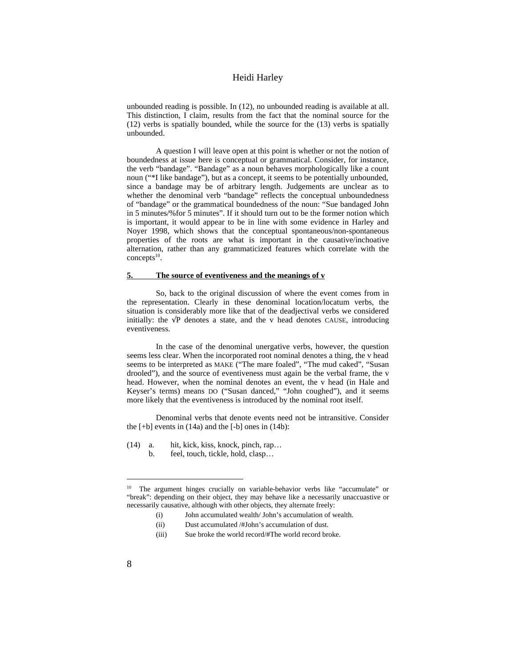unbounded reading is possible. In (12), no unbounded reading is available at all. This distinction, I claim, results from the fact that the nominal source for the (12) verbs is spatially bounded, while the source for the (13) verbs is spatially unbounded.

A question I will leave open at this point is whether or not the notion of boundedness at issue here is conceptual or grammatical. Consider, for instance, the verb "bandage". "Bandage" as a noun behaves morphologically like a count noun ("\*I like bandage"), but as a concept, it seems to be potentially unbounded, since a bandage may be of arbitrary length. Judgements are unclear as to whether the denominal verb "bandage" reflects the conceptual unboundedness of "bandage" or the grammatical boundedness of the noun: "Sue bandaged John in 5 minutes/%for 5 minutes". If it should turn out to be the former notion which is important, it would appear to be in line with some evidence in Harley and Noyer 1998, which shows that the conceptual spontaneous/non-spontaneous properties of the roots are what is important in the causative/inchoative alternation, rather than any grammaticized features which correlate with the  $concepts<sup>10</sup>$ .

#### **5. The source of eventiveness and the meanings of v**

So, back to the original discussion of where the event comes from in the representation. Clearly in these denominal location/locatum verbs, the situation is considerably more like that of the deadjectival verbs we considered initially: the P denotes a state, and the v head denotes CAUSE, introducing eventiveness.

In the case of the denominal unergative verbs, however, the question seems less clear. When the incorporated root nominal denotes a thing, the v head seems to be interpreted as MAKE ("The mare foaled", "The mud caked", "Susan drooled"), and the source of eventiveness must again be the verbal frame, the v head. However, when the nominal denotes an event, the v head (in Hale and Keyser's terms) means DO ("Susan danced," "John coughed"), and it seems more likely that the eventiveness is introduced by the nominal root itself.

Denominal verbs that denote events need not be intransitive. Consider the  $[+b]$  events in  $(14a)$  and the  $[-b]$  ones in  $(14b)$ :

(14) a. hit, kick, kiss, knock, pinch, rap… b. feel, touch, tickle, hold, clasp…

- (i) John accumulated wealth/ John's accumulation of wealth.
- (ii) Dust accumulated /#John's accumulation of dust.
- (iii) Sue broke the world record/#The world record broke.

<sup>&</sup>lt;sup>10</sup> The argument hinges crucially on variable-behavior verbs like "accumulate" or "break": depending on their object, they may behave like a necessarily unaccuastive or necessarily causative, although with other objects, they alternate freely: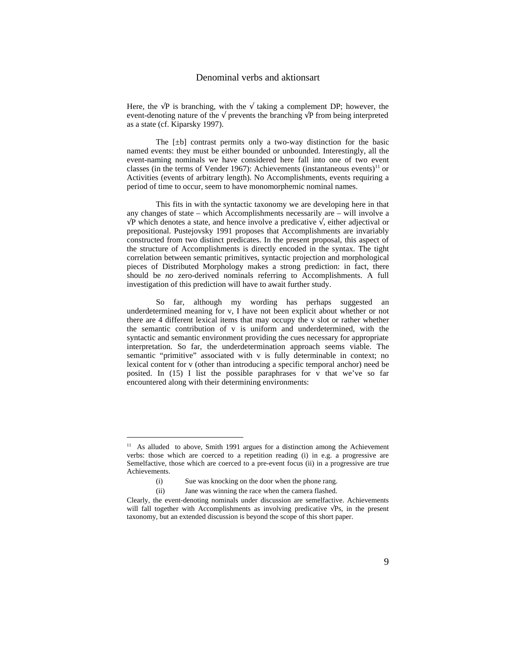Here, the P is branching, with the taking a complement DP; however, the event-denoting nature of the prevents the branching P from being interpreted as a state (cf. Kiparsky 1997).

The  $[\pm b]$  contrast permits only a two-way distinction for the basic named events: they must be either bounded or unbounded. Interestingly, all the event-naming nominals we have considered here fall into one of two event classes (in the terms of Vender 1967): Achievements (instantaneous events)<sup>11</sup> or Activities (events of arbitrary length). No Accomplishments, events requiring a period of time to occur, seem to have monomorphemic nominal names.

This fits in with the syntactic taxonomy we are developing here in that any changes of state – which Accomplishments necessarily are – will involve a P which denotes a state, and hence involve a predicative , either adjectival or prepositional. Pustejovsky 1991 proposes that Accomplishments are invariably constructed from two distinct predicates. In the present proposal, this aspect of the structure of Accomplishments is directly encoded in the syntax. The tight correlation between semantic primitives, syntactic projection and morphological pieces of Distributed Morphology makes a strong prediction: in fact, there should be *no* zero-derived nominals referring to Accomplishments. A full investigation of this prediction will have to await further study.

So far, although my wording has perhaps suggested an underdetermined meaning for v, I have not been explicit about whether or not there are 4 different lexical items that may occupy the v slot or rather whether the semantic contribution of v is uniform and underdetermined, with the syntactic and semantic environment providing the cues necessary for appropriate interpretation. So far, the underdetermination approach seems viable. The semantic "primitive" associated with v is fully determinable in context; no lexical content for v (other than introducing a specific temporal anchor) need be posited. In (15) I list the possible paraphrases for v that we've so far encountered along with their determining environments:

<sup>&</sup>lt;sup>11</sup> As alluded to above, Smith 1991 argues for a distinction among the Achievement verbs: those which are coerced to a repetition reading (i) in e.g. a progressive are Semelfactive, those which are coerced to a pre-event focus (ii) in a progressive are true Achievements.

<sup>(</sup>i) Sue was knocking on the door when the phone rang.

<sup>(</sup>ii) Jane was winning the race when the camera flashed.

Clearly, the event-denoting nominals under discussion are semelfactive. Achievements will fall together with Accomplishments as involving predicative Ps, in the present taxonomy, but an extended discussion is beyond the scope of this short paper.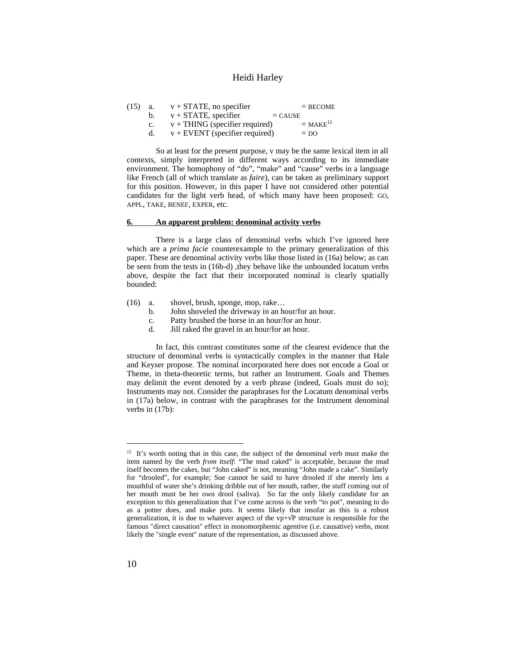| (15) | а. | $v + STATE$ , no specifier              | $=$ BECOME             |
|------|----|-----------------------------------------|------------------------|
|      | b. | $v + STATE$ , specifier<br>$=$ CAUSE    |                        |
|      |    | $v + THING$ (specifier required)        | $=$ MAKE <sup>12</sup> |
|      |    | $v + \text{EVENT}$ (specifier required) | $=$ DO                 |
|      |    |                                         |                        |

So at least for the present purpose, v may be the same lexical item in all contexts, simply interpreted in different ways according to its immediate environment. The homophony of "do", "make" and "cause" verbs in a language like French (all of which translate as *faire*), can be taken as preliminary support for this position. However, in this paper I have not considered other potential candidates for the light verb head, of which many have been proposed: GO, APPL, TAKE, BENEF, EXPER, etc.

## **6. An apparent problem: denominal activity verbs**

There is a large class of denominal verbs which I've ignored here which are a *prima facie* counterexample to the primary generalization of this paper. These are denominal activity verbs like those listed in (16a) below; as can be seen from the tests in (16b-d) ,they behave like the unbounded locatum verbs above, despite the fact that their incorporated nominal is clearly spatially bounded:

- (16) a. shovel, brush, sponge, mop, rake…
	- b. John shoveled the driveway in an hour/for an hour.
	- c. Patty brushed the horse in an hour/for an hour.<br>d. Jill raked the gravel in an hour/for an hour.
	- Jill raked the gravel in an hour/for an hour.

In fact, this contrast constitutes some of the clearest evidence that the structure of denominal verbs is syntactically complex in the manner that Hale and Keyser propose. The nominal incorporated here does not encode a Goal or Theme, in theta-theoretic terms, but rather an Instrument. Goals and Themes may delimit the event denoted by a verb phrase (indeed, Goals must do so); Instruments may not. Consider the paraphrases for the Locatum denominal verbs in (17a) below, in contrast with the paraphrases for the Instrument denominal verbs in (17b):

l

 $12$  It's worth noting that in this case, the subject of the denominal verb must make the item named by the verb *from itself*: "The mud caked" is acceptable, because the mud itself becomes the cakes, but "John caked" is not, meaning "John made a cake". Similarly for "drooled", for example; Sue cannot be said to have drooled if she merely lets a mouthful of water she's drinking dribble out of her mouth, rather, the stuff coming out of her mouth must be her own drool (saliva). So far the only likely candidate for an exception to this generalization that I've come across is the verb "to pot", meaning to do as a potter does, and make pots. It seems likely that insofar as this is a robust generalization, it is due to whatever aspect of the  $vp+P$  structure is responsible for the famous "direct causation" effect in monomorphemic agentive (i.e. causative) verbs, most likely the "single event" nature of the representation, as discussed above.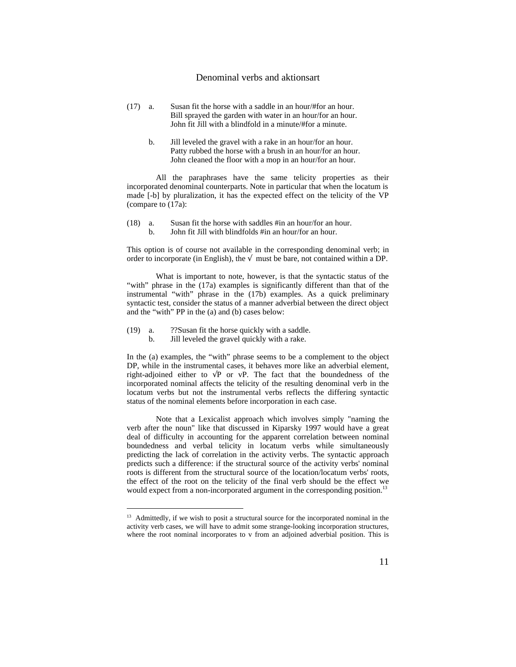- (17) a. Susan fit the horse with a saddle in an hour/#for an hour. Bill sprayed the garden with water in an hour/for an hour. John fit Jill with a blindfold in a minute/#for a minute.
	- b. Jill leveled the gravel with a rake in an hour/for an hour. Patty rubbed the horse with a brush in an hour/for an hour. John cleaned the floor with a mop in an hour/for an hour.

All the paraphrases have the same telicity properties as their incorporated denominal counterparts. Note in particular that when the locatum is made [-b] by pluralization, it has the expected effect on the telicity of the VP (compare to (17a):

(18) a. Susan fit the horse with saddles #in an hour/for an hour. b. John fit Jill with blindfolds #in an hour/for an hour.

This option is of course not available in the corresponding denominal verb; in order to incorporate (in English), the must be bare, not contained within a DP.

What is important to note, however, is that the syntactic status of the "with" phrase in the (17a) examples is significantly different than that of the instrumental "with" phrase in the (17b) examples. As a quick preliminary syntactic test, consider the status of a manner adverbial between the direct object and the "with" PP in the (a) and (b) cases below:

(19) a. ??Susan fit the horse quickly with a saddle.

l

b. Jill leveled the gravel quickly with a rake.

In the (a) examples, the "with" phrase seems to be a complement to the object DP, while in the instrumental cases, it behaves more like an adverbial element, right-adjoined either to P or vP. The fact that the boundedness of the incorporated nominal affects the telicity of the resulting denominal verb in the locatum verbs but not the instrumental verbs reflects the differing syntactic status of the nominal elements before incorporation in each case.

Note that a Lexicalist approach which involves simply "naming the verb after the noun" like that discussed in Kiparsky 1997 would have a great deal of difficulty in accounting for the apparent correlation between nominal boundedness and verbal telicity in locatum verbs while simultaneously predicting the lack of correlation in the activity verbs. The syntactic approach predicts such a difference: if the structural source of the activity verbs' nominal roots is different from the structural source of the location/locatum verbs' roots, the effect of the root on the telicity of the final verb should be the effect we would expect from a non-incorporated argument in the corresponding position.<sup>13</sup>

<sup>&</sup>lt;sup>13</sup> Admittedly, if we wish to posit a structural source for the incorporated nominal in the activity verb cases, we will have to admit some strange-looking incorporation structures, where the root nominal incorporates to v from an adjoined adverbial position. This is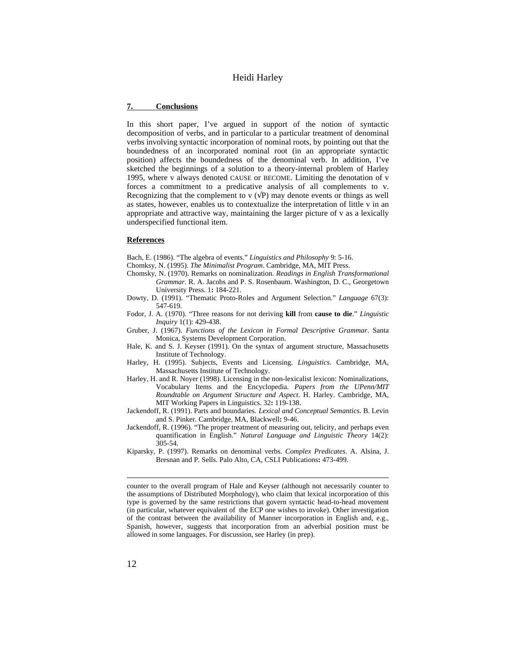## **7. Conclusions**

In this short paper, I've argued in support of the notion of syntactic decomposition of verbs, and in particular to a particular treatment of denominal verbs involving syntactic incorporation of nominal roots, by pointing out that the boundedness of an incorporated nominal root (in an appropriate syntactic position) affects the boundedness of the denominal verb. In addition, I've sketched the beginnings of a solution to a theory-internal problem of Harley 1995, where v always denoted CAUSE or BECOME. Limiting the denotation of v forces a commitment to a predicative analysis of all complements to v. Recognizing that the complement to  $v \in P$ ) may denote events or things as well as states, however, enables us to contextualize the interpretation of little v in an appropriate and attractive way, maintaining the larger picture of v as a lexically underspecified functional item.

#### **References**

Bach, E. (1986). "The algebra of events." *Linguistics and Philosophy* 9: 5-16.

- Chomksy, N. (1995). *The Minimalist Program*. Cambridge, MA, MIT Press.
- Chomsky, N. (1970). Remarks on nominalization. *Readings in English Transformational Grammar*. R. A. Jacobs and P. S. Rosenbaum. Washington, D. C., Georgetown University Press. 1**:** 184-221.
- Dowty, D. (1991). "Thematic Proto-Roles and Argument Selection." *Language* 67(3): 547-619.
- Fodor, J. A. (1970). "Three reasons for not deriving **kill** from **cause to die**." *Linguistic Inquiry* 1(1): 429-438.
- Gruber, J. (1967). *Functions of the Lexicon in Formal Descriptive Grammar*. Santa Monica, Systems Development Corporation.
- Hale, K. and S. J. Keyser (1991). On the syntax of argument structure, Massachusetts Institute of Technology.
- Harley, H. (1995). Subjects, Events and Licensing. *Linguistics*. Cambridge, MA, Massachusetts Institute of Technology.
- Harley, H. and R. Noyer (1998). Licensing in the non-lexicalist lexicon: Nominalizations, Vocabulary Items and the Encyclopedia. *Papers from the UPenn/MIT Roundtable on Argument Structure and Aspect*. H. Harley. Cambridge, MA, MIT Working Papers in Linguistics. 32**:** 119-138.
- Jackendoff, R. (1991). Parts and boundaries. *Lexical and Conceptual Semantics*. B. Levin and S. Pinker. Cambridge, MA, Blackwell**:** 9-46.
- Jackendoff, R. (1996). "The proper treatment of measuring out, telicity, and perhaps even quantification in English." *Natural Language and Linguistic Theory* 14(2): 305-54.
- Kiparsky, P. (1997). Remarks on denominal verbs. *Complex Predicates*. A. Alsina, J. Bresnan and P. Sells. Palo Alto, CA, CSLI Publications**:** 473-499.

counter to the overall program of Hale and Keyser (although not necessarily counter to the assumptions of Distributed Morphology), who claim that lexical incorporation of this type is governed by the same restrictions that govern syntactic head-to-head movement (in particular, whatever equivalent of the ECP one wishes to invoke). Other investigation of the contrast between the availability of Manner incorporation in English and, e.g., Spanish, however, suggests that incorporation from an adverbial position must be allowed in some languages. For discussion, see Harley (in prep).